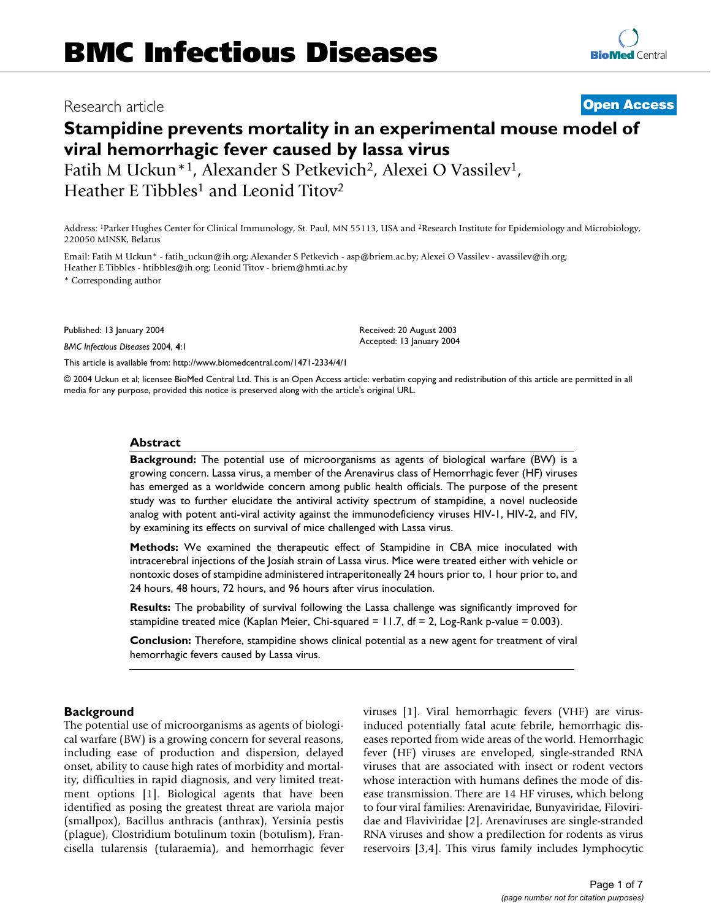# Research article **[Open Access](http://www.biomedcentral.com/info/about/charter/)**

# **Stampidine prevents mortality in an experimental mouse model of viral hemorrhagic fever caused by lassa virus**

Fatih M Uckun<sup>\*1</sup>, Alexander S Petkevich<sup>2</sup>, Alexei O Vassilev<sup>1</sup>, Heather E Tibbles<sup>1</sup> and Leonid Titov<sup>2</sup>

Address: 1Parker Hughes Center for Clinical Immunology, St. Paul, MN 55113, USA and 2Research Institute for Epidemiology and Microbiology, 220050 MINSK, Belarus

Email: Fatih M Uckun\* - fatih\_uckun@ih.org; Alexander S Petkevich - asp@briem.ac.by; Alexei O Vassilev - avassilev@ih.org; Heather E Tibbles - htibbles@ih.org; Leonid Titov - briem@hmti.ac.by

\* Corresponding author

Published: 13 January 2004

*BMC Infectious Diseases* 2004, **4**:1

[This article is available from: http://www.biomedcentral.com/1471-2334/4/1](http://www.biomedcentral.com/1471-2334/4/1)

© 2004 Uckun et al; licensee BioMed Central Ltd. This is an Open Access article: verbatim copying and redistribution of this article are permitted in all media for any purpose, provided this notice is preserved along with the article's original URL.

Received: 20 August 2003 Accepted: 13 January 2004

## **Abstract**

**Background:** The potential use of microorganisms as agents of biological warfare (BW) is a growing concern. Lassa virus, a member of the Arenavirus class of Hemorrhagic fever (HF) viruses has emerged as a worldwide concern among public health officials. The purpose of the present study was to further elucidate the antiviral activity spectrum of stampidine, a novel nucleoside analog with potent anti-viral activity against the immunodeficiency viruses HIV-1, HIV-2, and FIV, by examining its effects on survival of mice challenged with Lassa virus.

**Methods:** We examined the therapeutic effect of Stampidine in CBA mice inoculated with intracerebral injections of the Josiah strain of Lassa virus. Mice were treated either with vehicle or nontoxic doses of stampidine administered intraperitoneally 24 hours prior to, 1 hour prior to, and 24 hours, 48 hours, 72 hours, and 96 hours after virus inoculation.

**Results:** The probability of survival following the Lassa challenge was significantly improved for stampidine treated mice (Kaplan Meier, Chi-squared = 11.7, df = 2, Log-Rank p-value = 0.003).

**Conclusion:** Therefore, stampidine shows clinical potential as a new agent for treatment of viral hemorrhagic fevers caused by Lassa virus.

## **Background**

The potential use of microorganisms as agents of biological warfare (BW) is a growing concern for several reasons, including ease of production and dispersion, delayed onset, ability to cause high rates of morbidity and mortality, difficulties in rapid diagnosis, and very limited treatment options [1]. Biological agents that have been identified as posing the greatest threat are variola major (smallpox), Bacillus anthracis (anthrax), Yersinia pestis (plague), Clostridium botulinum toxin (botulism), Francisella tularensis (tularaemia), and hemorrhagic fever viruses [1]. Viral hemorrhagic fevers (VHF) are virusinduced potentially fatal acute febrile, hemorrhagic diseases reported from wide areas of the world. Hemorrhagic fever (HF) viruses are enveloped, single-stranded RNA viruses that are associated with insect or rodent vectors whose interaction with humans defines the mode of disease transmission. There are 14 HF viruses, which belong to four viral families: Arenaviridae, Bunyaviridae, Filoviridae and Flaviviridae [2]. Arenaviruses are single-stranded RNA viruses and show a predilection for rodents as virus reservoirs [3,4]. This virus family includes lymphocytic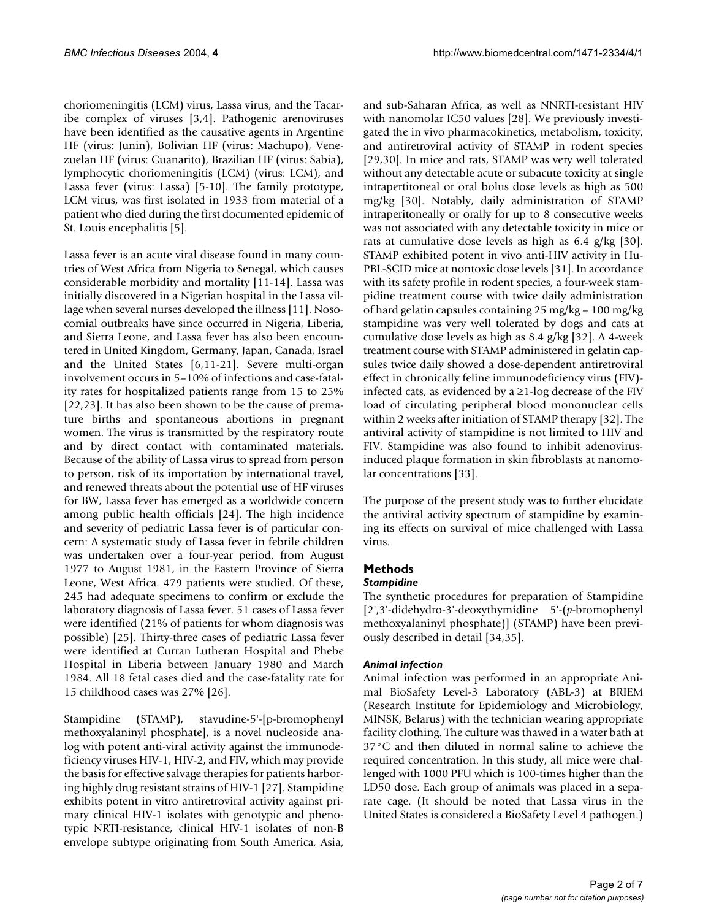choriomeningitis (LCM) virus, Lassa virus, and the Tacaribe complex of viruses [3,4]. Pathogenic arenoviruses have been identified as the causative agents in Argentine HF (virus: Junin), Bolivian HF (virus: Machupo), Venezuelan HF (virus: Guanarito), Brazilian HF (virus: Sabia), lymphocytic choriomeningitis (LCM) (virus: LCM), and Lassa fever (virus: Lassa) [5-10]. The family prototype, LCM virus, was first isolated in 1933 from material of a patient who died during the first documented epidemic of St. Louis encephalitis [5].

Lassa fever is an acute viral disease found in many countries of West Africa from Nigeria to Senegal, which causes considerable morbidity and mortality [11-14]. Lassa was initially discovered in a Nigerian hospital in the Lassa village when several nurses developed the illness [11]. Nosocomial outbreaks have since occurred in Nigeria, Liberia, and Sierra Leone, and Lassa fever has also been encountered in United Kingdom, Germany, Japan, Canada, Israel and the United States [6,11-21]. Severe multi-organ involvement occurs in 5–10% of infections and case-fatality rates for hospitalized patients range from 15 to 25% [22,23]. It has also been shown to be the cause of premature births and spontaneous abortions in pregnant women. The virus is transmitted by the respiratory route and by direct contact with contaminated materials. Because of the ability of Lassa virus to spread from person to person, risk of its importation by international travel, and renewed threats about the potential use of HF viruses for BW, Lassa fever has emerged as a worldwide concern among public health officials [24]. The high incidence and severity of pediatric Lassa fever is of particular concern: A systematic study of Lassa fever in febrile children was undertaken over a four-year period, from August 1977 to August 1981, in the Eastern Province of Sierra Leone, West Africa. 479 patients were studied. Of these, 245 had adequate specimens to confirm or exclude the laboratory diagnosis of Lassa fever. 51 cases of Lassa fever were identified (21% of patients for whom diagnosis was possible) [25]. Thirty-three cases of pediatric Lassa fever were identified at Curran Lutheran Hospital and Phebe Hospital in Liberia between January 1980 and March 1984. All 18 fetal cases died and the case-fatality rate for 15 childhood cases was 27% [26].

Stampidine (STAMP), stavudine-5'-[p-bromophenyl methoxyalaninyl phosphate], is a novel nucleoside analog with potent anti-viral activity against the immunodeficiency viruses HIV-1, HIV-2, and FIV, which may provide the basis for effective salvage therapies for patients harboring highly drug resistant strains of HIV-1 [27]. Stampidine exhibits potent in vitro antiretroviral activity against primary clinical HIV-1 isolates with genotypic and phenotypic NRTI-resistance, clinical HIV-1 isolates of non-B envelope subtype originating from South America, Asia,

and sub-Saharan Africa, as well as NNRTI-resistant HIV with nanomolar IC50 values [28]. We previously investigated the in vivo pharmacokinetics, metabolism, toxicity, and antiretroviral activity of STAMP in rodent species [29,30]. In mice and rats, STAMP was very well tolerated without any detectable acute or subacute toxicity at single intrapertitoneal or oral bolus dose levels as high as 500 mg/kg [30]. Notably, daily administration of STAMP intraperitoneally or orally for up to 8 consecutive weeks was not associated with any detectable toxicity in mice or rats at cumulative dose levels as high as 6.4 g/kg [30]. STAMP exhibited potent in vivo anti-HIV activity in Hu-PBL-SCID mice at nontoxic dose levels [31]. In accordance with its safety profile in rodent species, a four-week stampidine treatment course with twice daily administration of hard gelatin capsules containing 25 mg/kg – 100 mg/kg stampidine was very well tolerated by dogs and cats at cumulative dose levels as high as 8.4 g/kg [32]. A 4-week treatment course with STAMP administered in gelatin capsules twice daily showed a dose-dependent antiretroviral effect in chronically feline immunodeficiency virus (FIV) infected cats, as evidenced by a  $\geq$ 1-log decrease of the FIV load of circulating peripheral blood mononuclear cells within 2 weeks after initiation of STAMP therapy [32]. The antiviral activity of stampidine is not limited to HIV and FIV. Stampidine was also found to inhibit adenovirusinduced plaque formation in skin fibroblasts at nanomolar concentrations [33].

The purpose of the present study was to further elucidate the antiviral activity spectrum of stampidine by examining its effects on survival of mice challenged with Lassa virus.

# **Methods**

## *Stampidine*

The synthetic procedures for preparation of Stampidine [2',3'-didehydro-3'-deoxythymidine 5'-(*p*-bromophenyl methoxyalaninyl phosphate)] (STAMP) have been previously described in detail [34,35].

# *Animal infection*

Animal infection was performed in an appropriate Animal BioSafety Level-3 Laboratory (ABL-3) at BRIEM (Research Institute for Epidemiology and Microbiology, MINSK, Belarus) with the technician wearing appropriate facility clothing. The culture was thawed in a water bath at 37°C and then diluted in normal saline to achieve the required concentration. In this study, all mice were challenged with 1000 PFU which is 100-times higher than the LD50 dose. Each group of animals was placed in a separate cage. (It should be noted that Lassa virus in the United States is considered a BioSafety Level 4 pathogen.)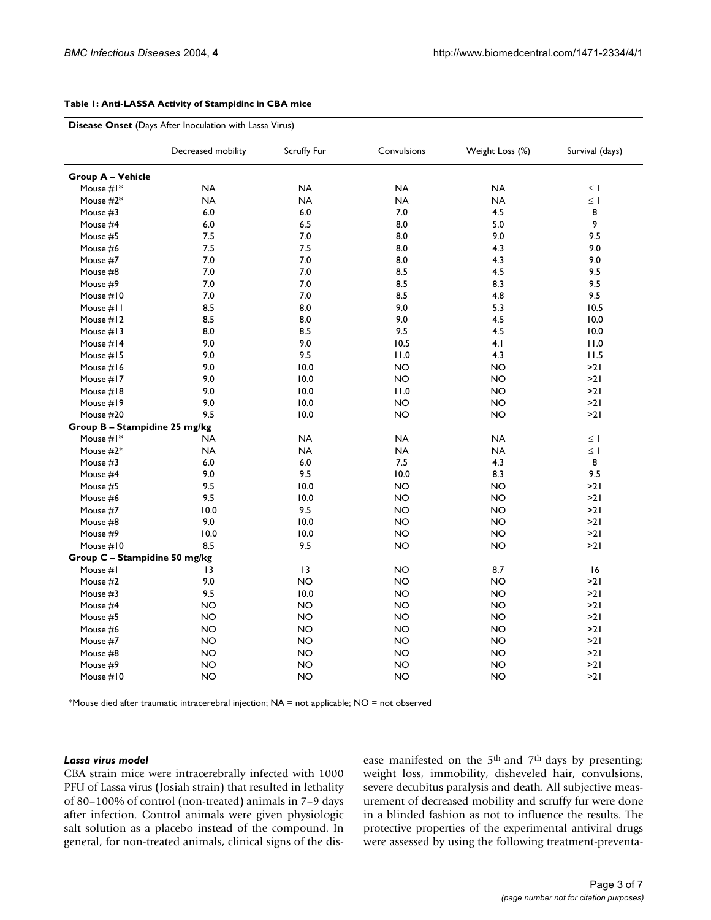#### <span id="page-2-0"></span>**Table 1: Anti-LASSA Activity of Stampidinc in CBA mice**

|                               | Decreased mobility | Scruffy Fur     | Convulsions | Weight Loss (%) | Survival (days) |
|-------------------------------|--------------------|-----------------|-------------|-----------------|-----------------|
| <b>Group A - Vehicle</b>      |                    |                 |             |                 |                 |
| Mouse #I*                     | <b>NA</b>          | <b>NA</b>       | <b>NA</b>   | <b>NA</b>       | $\leq$ 1        |
| Mouse #2*                     | <b>NA</b>          | <b>NA</b>       | <b>NA</b>   | <b>NA</b>       | $\leq$ 1        |
| Mouse #3                      | 6.0                | 6.0             | 7.0         | 4.5             | 8               |
| Mouse #4                      | 6.0                | 6.5             | 8.0         | 5.0             | 9               |
| Mouse #5                      | 7.5                | 7.0             | 8.0         | 9.0             | 9.5             |
| Mouse #6                      | 7.5                | 7.5             | 8.0         | 4.3             | 9.0             |
| Mouse #7                      | 7.0                | 7.0             | 8.0         | 4.3             | 9.0             |
| Mouse #8                      | 7.0                | 7.0             | 8.5         | 4.5             | 9.5             |
| Mouse #9                      | 7.0                | 7.0             | 8.5         | 8.3             | 9.5             |
| Mouse #10                     | 7.0                | 7.0             | 8.5         | 4.8             | 9.5             |
| Mouse #11                     | 8.5                | 8.0             | 9.0         | 5.3             | 10.5            |
| Mouse #12                     | 8.5                | $8.0\,$         | 9.0         | 4.5             | 10.0            |
| Mouse #13                     | 8.0                | 8.5             | 9.5         | 4.5             | 10.0            |
| Mouse #14                     | 9.0                | 9.0             | 10.5        | 4.1             | 11.0            |
| Mouse #15                     | 9.0                | 9.5             | 11.0        | 4.3             | 11.5            |
| Mouse #16                     | 9.0                | 10.0            | <b>NO</b>   | <b>NO</b>       | >21             |
| Mouse #17                     | 9.0                | 10.0            | <b>NO</b>   | <b>NO</b>       | >21             |
| Mouse #18                     | 9.0                | 10.0            | 11.0        | <b>NO</b>       | >21             |
| Mouse #19                     | 9.0                | 10.0            | <b>NO</b>   | <b>NO</b>       | >21             |
| Mouse #20                     | 9.5                | 10.0            | <b>NO</b>   | <b>NO</b>       | >21             |
| Group B - Stampidine 25 mg/kg |                    |                 |             |                 |                 |
| Mouse $#I^*$                  | NA                 | <b>NA</b>       | <b>NA</b>   | <b>NA</b>       | $\leq$ 1        |
| Mouse $#2^*$                  | <b>NA</b>          | <b>NA</b>       | <b>NA</b>   | <b>NA</b>       | $\leq$ 1        |
| Mouse #3                      | 6.0                | 6.0             | 7.5         | 4.3             | 8               |
| Mouse #4                      | 9.0                | 9.5             | 10.0        | 8.3             | 9.5             |
| Mouse #5                      | 9.5                | 10.0            | <b>NO</b>   | <b>NO</b>       | >21             |
| Mouse #6                      | 9.5                | 10.0            | <b>NO</b>   | <b>NO</b>       | >21             |
| Mouse #7                      | 10.0               | 9.5             | <b>NO</b>   | <b>NO</b>       | >21             |
| Mouse #8                      | 9.0                | 10.0            | <b>NO</b>   | <b>NO</b>       | >21             |
| Mouse #9                      | 10.0               | 10.0            | <b>NO</b>   | <b>NO</b>       | >21             |
| Mouse #10                     | 8.5                | 9.5             | <b>NO</b>   | <b>NO</b>       | >21             |
| Group C - Stampidine 50 mg/kg |                    |                 |             |                 |                 |
| Mouse #1                      | $\overline{13}$    | $\overline{13}$ | <b>NO</b>   | 8.7             | 16              |
| Mouse #2                      | 9.0                | <b>NO</b>       | <b>NO</b>   | <b>NO</b>       | >21             |
| Mouse #3                      | 9.5                | 10.0            | <b>NO</b>   | <b>NO</b>       | >21             |
| Mouse #4                      | <b>NO</b>          | <b>NO</b>       | <b>NO</b>   | <b>NO</b>       | >21             |
| Mouse #5                      | NO.                | <b>NO</b>       | <b>NO</b>   | <b>NO</b>       | >21             |
| Mouse #6                      | <b>NO</b>          | <b>NO</b>       | <b>NO</b>   | <b>NO</b>       | >21             |
| Mouse #7                      | NO.                | <b>NO</b>       | <b>NO</b>   | <b>NO</b>       | >21             |
| Mouse #8                      | <b>NO</b>          | <b>NO</b>       | <b>NO</b>   | <b>NO</b>       | >21             |
| Mouse #9                      | <b>NO</b>          | <b>NO</b>       | <b>NO</b>   | <b>NO</b>       | >21             |
| Mouse #10                     | NO                 | <b>NO</b>       | <b>NO</b>   | <b>NO</b>       | >21             |

\*Mouse died after traumatic intracerebral injection; NA = not applicable; NO = not observed

#### *Lassa virus model*

CBA strain mice were intracerebrally infected with 1000 PFU of Lassa virus (Josiah strain) that resulted in lethality of 80–100% of control (non-treated) animals in 7–9 days after infection. Control animals were given physiologic salt solution as a placebo instead of the compound. In general, for non-treated animals, clinical signs of the disease manifested on the 5th and 7th days by presenting: weight loss, immobility, disheveled hair, convulsions, severe decubitus paralysis and death. All subjective measurement of decreased mobility and scruffy fur were done in a blinded fashion as not to influence the results. The protective properties of the experimental antiviral drugs were assessed by using the following treatment-preventa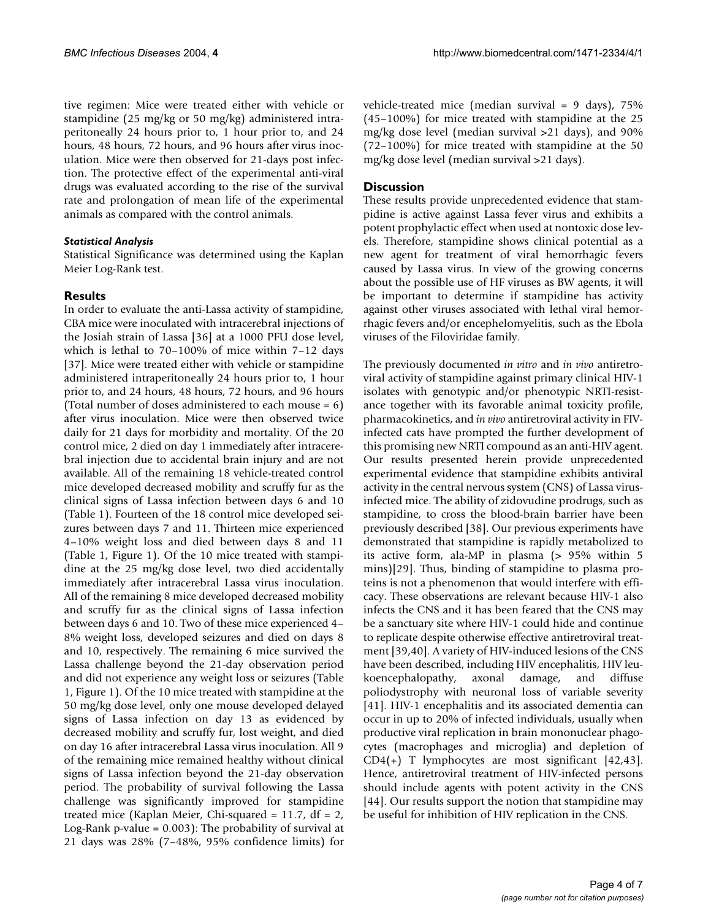tive regimen: Mice were treated either with vehicle or stampidine (25 mg/kg or 50 mg/kg) administered intraperitoneally 24 hours prior to, 1 hour prior to, and 24 hours, 48 hours, 72 hours, and 96 hours after virus inoculation. Mice were then observed for 21-days post infection. The protective effect of the experimental anti-viral drugs was evaluated according to the rise of the survival rate and prolongation of mean life of the experimental animals as compared with the control animals.

## *Statistical Analysis*

Statistical Significance was determined using the Kaplan Meier Log-Rank test.

# **Results**

In order to evaluate the anti-Lassa activity of stampidine, CBA mice were inoculated with intracerebral injections of the Josiah strain of Lassa [36] at a 1000 PFU dose level, which is lethal to 70–100% of mice within 7–12 days [37]. Mice were treated either with vehicle or stampidine administered intraperitoneally 24 hours prior to, 1 hour prior to, and 24 hours, 48 hours, 72 hours, and 96 hours (Total number of doses administered to each mouse = 6) after virus inoculation. Mice were then observed twice daily for 21 days for morbidity and mortality. Of the 20 control mice, 2 died on day 1 immediately after intracerebral injection due to accidental brain injury and are not available. All of the remaining 18 vehicle-treated control mice developed decreased mobility and scruffy fur as the clinical signs of Lassa infection between days 6 and 10 (Table [1](#page-2-0)). Fourteen of the 18 control mice developed seizures between days 7 and 11. Thirteen mice experienced 4–10% weight loss and died between days 8 and 11 (Table [1,](#page-2-0) Figure [1](#page-4-0)). Of the 10 mice treated with stampidine at the 25 mg/kg dose level, two died accidentally immediately after intracerebral Lassa virus inoculation. All of the remaining 8 mice developed decreased mobility and scruffy fur as the clinical signs of Lassa infection between days 6 and 10. Two of these mice experienced 4– 8% weight loss, developed seizures and died on days 8 and 10, respectively. The remaining 6 mice survived the Lassa challenge beyond the 21-day observation period and did not experience any weight loss or seizures (Table [1,](#page-2-0) Figure [1\)](#page-4-0). Of the 10 mice treated with stampidine at the 50 mg/kg dose level, only one mouse developed delayed signs of Lassa infection on day 13 as evidenced by decreased mobility and scruffy fur, lost weight, and died on day 16 after intracerebral Lassa virus inoculation. All 9 of the remaining mice remained healthy without clinical signs of Lassa infection beyond the 21-day observation period. The probability of survival following the Lassa challenge was significantly improved for stampidine treated mice (Kaplan Meier, Chi-squared =  $11.7$ , df =  $2$ , Log-Rank p-value = 0.003): The probability of survival at 21 days was 28% (7–48%, 95% confidence limits) for vehicle-treated mice (median survival = 9 days), 75% (45–100%) for mice treated with stampidine at the 25 mg/kg dose level (median survival >21 days), and 90% (72–100%) for mice treated with stampidine at the 50 mg/kg dose level (median survival >21 days).

## **Discussion**

These results provide unprecedented evidence that stampidine is active against Lassa fever virus and exhibits a potent prophylactic effect when used at nontoxic dose levels. Therefore, stampidine shows clinical potential as a new agent for treatment of viral hemorrhagic fevers caused by Lassa virus. In view of the growing concerns about the possible use of HF viruses as BW agents, it will be important to determine if stampidine has activity against other viruses associated with lethal viral hemorrhagic fevers and/or encephelomyelitis, such as the Ebola viruses of the Filoviridae family.

The previously documented *in vitro* and *in vivo* antiretroviral activity of stampidine against primary clinical HIV-1 isolates with genotypic and/or phenotypic NRTI-resistance together with its favorable animal toxicity profile, pharmacokinetics, and *in vivo* antiretroviral activity in FIVinfected cats have prompted the further development of this promising new NRTI compound as an anti-HIV agent. Our results presented herein provide unprecedented experimental evidence that stampidine exhibits antiviral activity in the central nervous system (CNS) of Lassa virusinfected mice. The ability of zidovudine prodrugs, such as stampidine, to cross the blood-brain barrier have been previously described [38]. Our previous experiments have demonstrated that stampidine is rapidly metabolized to its active form, ala-MP in plasma (> 95% within 5 mins)[29]. Thus, binding of stampidine to plasma proteins is not a phenomenon that would interfere with efficacy. These observations are relevant because HIV-1 also infects the CNS and it has been feared that the CNS may be a sanctuary site where HIV-1 could hide and continue to replicate despite otherwise effective antiretroviral treatment [39,40]. A variety of HIV-induced lesions of the CNS have been described, including HIV encephalitis, HIV leukoencephalopathy, axonal damage, and diffuse poliodystrophy with neuronal loss of variable severity [41]. HIV-1 encephalitis and its associated dementia can occur in up to 20% of infected individuals, usually when productive viral replication in brain mononuclear phagocytes (macrophages and microglia) and depletion of CD4(+) T lymphocytes are most significant [42,43]. Hence, antiretroviral treatment of HIV-infected persons should include agents with potent activity in the CNS [44]. Our results support the notion that stampidine may be useful for inhibition of HIV replication in the CNS.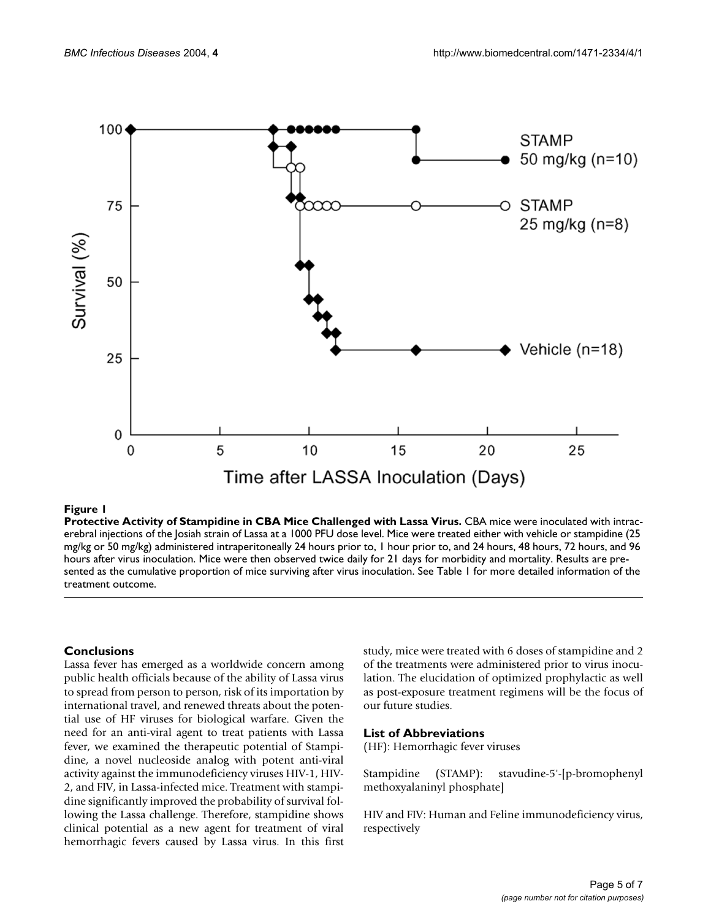<span id="page-4-0"></span>

## **Figure 1**

**Protective Activity of Stampidine in CBA Mice Challenged with Lassa Virus.** CBA mice were inoculated with intracerebral injections of the Josiah strain of Lassa at a 1000 PFU dose level. Mice were treated either with vehicle or stampidine (25 mg/kg or 50 mg/kg) administered intraperitoneally 24 hours prior to, 1 hour prior to, and 24 hours, 48 hours, 72 hours, and 96 hours after virus inoculation. Mice were then observed twice daily for 21 days for morbidity and mortality. Results are presented as the cumulative proportion of mice surviving after virus inoculation. See Table [1](#page-2-0) for more detailed information of the treatment outcome.

## **Conclusions**

Lassa fever has emerged as a worldwide concern among public health officials because of the ability of Lassa virus to spread from person to person, risk of its importation by international travel, and renewed threats about the potential use of HF viruses for biological warfare. Given the need for an anti-viral agent to treat patients with Lassa fever, we examined the therapeutic potential of Stampidine, a novel nucleoside analog with potent anti-viral activity against the immunodeficiency viruses HIV-1, HIV-2, and FIV, in Lassa-infected mice. Treatment with stampidine significantly improved the probability of survival following the Lassa challenge. Therefore, stampidine shows clinical potential as a new agent for treatment of viral hemorrhagic fevers caused by Lassa virus. In this first study, mice were treated with 6 doses of stampidine and 2 of the treatments were administered prior to virus inoculation. The elucidation of optimized prophylactic as well as post-exposure treatment regimens will be the focus of our future studies.

#### **List of Abbreviations**

(HF): Hemorrhagic fever viruses

Stampidine (STAMP): stavudine-5'-[p-bromophenyl methoxyalaninyl phosphate]

HIV and FIV: Human and Feline immunodeficiency virus, respectively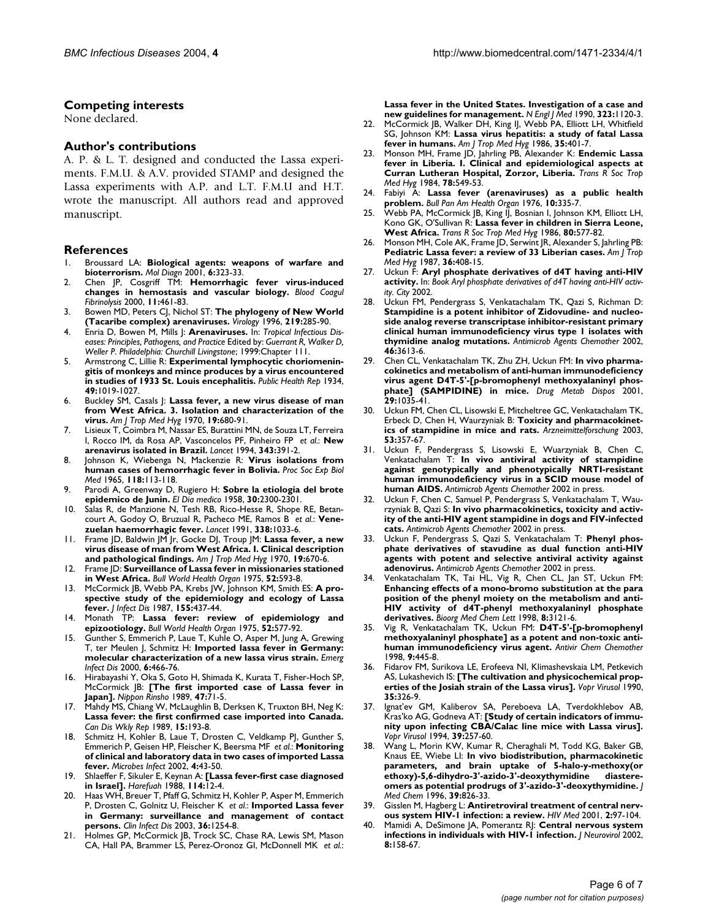#### **Competing interests**

None declared.

#### **Author's contributions**

A. P. & L. T. designed and conducted the Lassa experiments. F.M.U. & A.V. provided STAMP and designed the Lassa experiments with A.P. and L.T. F.M.U and H.T. wrote the manuscript. All authors read and approved manuscript.

#### **References**

- 1. Broussard LA: **[Biological agents: weapons of warfare and](http://www.ncbi.nlm.nih.gov/entrez/query.fcgi?cmd=Retrieve&db=PubMed&dopt=Abstract&list_uids=10.1054/modi.2001.29155) [bioterrorism](http://www.ncbi.nlm.nih.gov/entrez/query.fcgi?cmd=Retrieve&db=PubMed&dopt=Abstract&list_uids=10.1054/modi.2001.29155)[.](http://www.ncbi.nlm.nih.gov/entrez/query.fcgi?cmd=Retrieve&db=PubMed&dopt=Abstract&list_uids=11774197)** *Mol Diagn* 2001, **6:**323-33.
- 2. Chen JP, Cosgriff TM: **[Hemorrhagic fever virus-induced](http://www.ncbi.nlm.nih.gov/entrez/query.fcgi?cmd=Retrieve&db=PubMed&dopt=Abstract&list_uids=10.1097/00001721-200007000-00010) [changes in hemostasis and vascular biology](http://www.ncbi.nlm.nih.gov/entrez/query.fcgi?cmd=Retrieve&db=PubMed&dopt=Abstract&list_uids=10.1097/00001721-200007000-00010)[.](http://www.ncbi.nlm.nih.gov/entrez/query.fcgi?cmd=Retrieve&db=PubMed&dopt=Abstract&list_uids=10937808)** *Blood Coagul Fibrinolysis* 2000, **11:**461-83.
- 3. Bowen MD, Peters CJ, Nichol ST: **[The phylogeny of New World](http://www.ncbi.nlm.nih.gov/entrez/query.fcgi?cmd=Retrieve&db=PubMed&dopt=Abstract&list_uids=10.1006/viro.1996.0248) [\(Tacaribe complex\) arenaviruses](http://www.ncbi.nlm.nih.gov/entrez/query.fcgi?cmd=Retrieve&db=PubMed&dopt=Abstract&list_uids=10.1006/viro.1996.0248)[.](http://www.ncbi.nlm.nih.gov/entrez/query.fcgi?cmd=Retrieve&db=PubMed&dopt=Abstract&list_uids=8623541)** *Virology* 1996, **219:**285-90.
- 4. Enria D, Bowen M, Mills J: **Arenaviruses.** In: *Tropical Infectious Diseases: Principles, Pathogens, and Practice* Edited by: *Guerrant R, Walker D, Weller P*. *Philadelphia: Churchill Livingstone*; 1999:Chapter 111.
- 5. Armstrong C, Lillie R: **Experimental lymphocytic choriomeningitis of monkeys and mince produces by a virus encountered in studies of 1933 St. Louis encephalitis.** *Public Health Rep* 1934, **49:**1019-1027.
- 6. Buckley SM, Casals J: **[Lassa fever, a new virus disease of man](http://www.ncbi.nlm.nih.gov/entrez/query.fcgi?cmd=Retrieve&db=PubMed&dopt=Abstract&list_uids=4987547) [from West Africa. 3. Isolation and characterization of the](http://www.ncbi.nlm.nih.gov/entrez/query.fcgi?cmd=Retrieve&db=PubMed&dopt=Abstract&list_uids=4987547) [virus.](http://www.ncbi.nlm.nih.gov/entrez/query.fcgi?cmd=Retrieve&db=PubMed&dopt=Abstract&list_uids=4987547)** *Am J Trop Med Hyg* 1970, **19:**680-91.
- 7. Lisieux T, Coimbra M, Nassar ES, Burattini MN, de Souza LT, Ferreira I, Rocco IM, da Rosa AP, Vasconcelos PF, Pinheiro FP *et al.*: **[New](http://www.ncbi.nlm.nih.gov/entrez/query.fcgi?cmd=Retrieve&db=PubMed&dopt=Abstract&list_uids=10.1016/S0140-6736(94)91226-2) [arenavirus isolated in Brazil](http://www.ncbi.nlm.nih.gov/entrez/query.fcgi?cmd=Retrieve&db=PubMed&dopt=Abstract&list_uids=10.1016/S0140-6736(94)91226-2)[.](http://www.ncbi.nlm.nih.gov/entrez/query.fcgi?cmd=Retrieve&db=PubMed&dopt=Abstract&list_uids=7905555)** *Lancet* 1994, **343:**391-2.
- 8. Johnson K, Wiebenga N, Mackenzie R: **[Virus isolations from](http://www.ncbi.nlm.nih.gov/entrez/query.fcgi?cmd=Retrieve&db=PubMed&dopt=Abstract&list_uids=14254520) [human cases of hemorrhagic fever in Bolivia.](http://www.ncbi.nlm.nih.gov/entrez/query.fcgi?cmd=Retrieve&db=PubMed&dopt=Abstract&list_uids=14254520)** *Proc Soc Exp Biol Med* 1965, **118:**113-118.
- 9. Parodi A, Greenway D, Rugiero H: **[Sobre la etiologia del brote](http://www.ncbi.nlm.nih.gov/entrez/query.fcgi?cmd=Retrieve&db=PubMed&dopt=Abstract&list_uids=13586110) [epidemico de Junin.](http://www.ncbi.nlm.nih.gov/entrez/query.fcgi?cmd=Retrieve&db=PubMed&dopt=Abstract&list_uids=13586110)** *El Dia medico* 1958, **30:**2300-2301.
- 10. Salas R, de Manzione N, Tesh RB, Rico-Hesse R, Shope RE, Betancourt A, Godoy O, Bruzual R, Pacheco ME, Ramos B *et al.*: **[Vene](http://www.ncbi.nlm.nih.gov/entrez/query.fcgi?cmd=Retrieve&db=PubMed&dopt=Abstract&list_uids=10.1016/0140-6736(91)91899-6)[zuelan haemorrhagic fever](http://www.ncbi.nlm.nih.gov/entrez/query.fcgi?cmd=Retrieve&db=PubMed&dopt=Abstract&list_uids=10.1016/0140-6736(91)91899-6)[.](http://www.ncbi.nlm.nih.gov/entrez/query.fcgi?cmd=Retrieve&db=PubMed&dopt=Abstract&list_uids=1681354)** *Lancet* 1991, **338:**1033-6.
- 11. Frame JD, Baldwin JM Jr, Gocke DJ, Troup JM: **[Lassa fever, a new](http://www.ncbi.nlm.nih.gov/entrez/query.fcgi?cmd=Retrieve&db=PubMed&dopt=Abstract&list_uids=4246571) [virus disease of man from West Africa. I. Clinical description](http://www.ncbi.nlm.nih.gov/entrez/query.fcgi?cmd=Retrieve&db=PubMed&dopt=Abstract&list_uids=4246571) [and pathological findings.](http://www.ncbi.nlm.nih.gov/entrez/query.fcgi?cmd=Retrieve&db=PubMed&dopt=Abstract&list_uids=4246571)** *Am J Trop Med Hyg* 1970, **19:**670-6.
- 12. Frame JD: **[Surveillance of Lassa fever in missionaries stationed](http://www.ncbi.nlm.nih.gov/entrez/query.fcgi?cmd=Retrieve&db=PubMed&dopt=Abstract&list_uids=1085213) [in West Africa.](http://www.ncbi.nlm.nih.gov/entrez/query.fcgi?cmd=Retrieve&db=PubMed&dopt=Abstract&list_uids=1085213)** *Bull World Health Organ* 1975, **52:**593-8.
- 13. McCormick JB, Webb PA, Krebs JW, Johnson KM, Smith ES: **[A pro](http://www.ncbi.nlm.nih.gov/entrez/query.fcgi?cmd=Retrieve&db=PubMed&dopt=Abstract&list_uids=3805771)[spective study of the epidemiology and ecology of Lassa](http://www.ncbi.nlm.nih.gov/entrez/query.fcgi?cmd=Retrieve&db=PubMed&dopt=Abstract&list_uids=3805771) [fever.](http://www.ncbi.nlm.nih.gov/entrez/query.fcgi?cmd=Retrieve&db=PubMed&dopt=Abstract&list_uids=3805771)** *J Infect Dis* 1987, **155:**437-44.
- 14. Monath TP: **[Lassa fever: review of epidemiology and](http://www.ncbi.nlm.nih.gov/entrez/query.fcgi?cmd=Retrieve&db=PubMed&dopt=Abstract&list_uids=782738) [epizootiology.](http://www.ncbi.nlm.nih.gov/entrez/query.fcgi?cmd=Retrieve&db=PubMed&dopt=Abstract&list_uids=782738)** *Bull World Health Organ* 1975, **52:**577-92.
- 15. Gunther S, Emmerich P, Laue T, Kuhle O, Asper M, Jung A, Grewing T, ter Meulen J, Schmitz H: **[Imported lassa fever in Germany:](http://www.ncbi.nlm.nih.gov/entrez/query.fcgi?cmd=Retrieve&db=PubMed&dopt=Abstract&list_uids=10998376) [molecular characterization of a new lassa virus strain.](http://www.ncbi.nlm.nih.gov/entrez/query.fcgi?cmd=Retrieve&db=PubMed&dopt=Abstract&list_uids=10998376)** *Emerg Infect Dis* 2000, **6:**466-76.
- 16. Hirabayashi Y, Oka S, Goto H, Shimada K, Kurata T, Fisher-Hoch SP, McCormick JB: **[\[The first imported case of Lassa fever in](http://www.ncbi.nlm.nih.gov/entrez/query.fcgi?cmd=Retrieve&db=PubMed&dopt=Abstract&list_uids=2724572) [Japan\].](http://www.ncbi.nlm.nih.gov/entrez/query.fcgi?cmd=Retrieve&db=PubMed&dopt=Abstract&list_uids=2724572)** *Nippon Rinsho* 1989, **47:**71-5.
- 17. Mahdy MS, Chiang W, McLaughlin B, Derksen K, Truxton BH, Neg K: **[Lassa fever: the first confirmed case imported into Canada.](http://www.ncbi.nlm.nih.gov/entrez/query.fcgi?cmd=Retrieve&db=PubMed&dopt=Abstract&list_uids=2590947)** *Can Dis Wkly Rep* 1989, **15:**193-8.
- 18. Schmitz H, Kohler B, Laue T, Drosten C, Veldkamp PJ, Gunther S, Emmerich P, Geisen HP, Fleischer K, Beersma MF *et al.*: **[Monitoring](http://www.ncbi.nlm.nih.gov/entrez/query.fcgi?cmd=Retrieve&db=PubMed&dopt=Abstract&list_uids=10.1016/S1286-4579(01)01508-8) [of clinical and laboratory data in two cases of imported Lassa](http://www.ncbi.nlm.nih.gov/entrez/query.fcgi?cmd=Retrieve&db=PubMed&dopt=Abstract&list_uids=10.1016/S1286-4579(01)01508-8) [fever](http://www.ncbi.nlm.nih.gov/entrez/query.fcgi?cmd=Retrieve&db=PubMed&dopt=Abstract&list_uids=10.1016/S1286-4579(01)01508-8)[.](http://www.ncbi.nlm.nih.gov/entrez/query.fcgi?cmd=Retrieve&db=PubMed&dopt=Abstract&list_uids=11825774)** *Microbes Infect* 2002, **4:**43-50.
- 19. Shlaeffer F, Sikuler E, Keynan A: **[\[Lassa fever-first case diagnosed](http://www.ncbi.nlm.nih.gov/entrez/query.fcgi?cmd=Retrieve&db=PubMed&dopt=Abstract&list_uids=3350404) [in Israel\].](http://www.ncbi.nlm.nih.gov/entrez/query.fcgi?cmd=Retrieve&db=PubMed&dopt=Abstract&list_uids=3350404)** *Harefuah* 1988, **114:**12-4.
- 20. Haas WH, Breuer T, Pfaff G, Schmitz H, Kohler P, Asper M, Emmerich P, Drosten C, Golnitz U, Fleischer K *et al.*: **[Imported Lassa fever](http://www.ncbi.nlm.nih.gov/entrez/query.fcgi?cmd=Retrieve&db=PubMed&dopt=Abstract&list_uids=10.1086/374853) [in Germany: surveillance and management of contact](http://www.ncbi.nlm.nih.gov/entrez/query.fcgi?cmd=Retrieve&db=PubMed&dopt=Abstract&list_uids=10.1086/374853) [persons](http://www.ncbi.nlm.nih.gov/entrez/query.fcgi?cmd=Retrieve&db=PubMed&dopt=Abstract&list_uids=10.1086/374853)[.](http://www.ncbi.nlm.nih.gov/entrez/query.fcgi?cmd=Retrieve&db=PubMed&dopt=Abstract&list_uids=12746770)** *Clin Infect Dis* 2003, **36:**1254-8.
- 21. Holmes GP, McCormick JB, Trock SC, Chase RA, Lewis SM, Mason CA, Hall PA, Brammer LS, Perez-Oronoz GI, McDonnell MK *et al.*:

**[Lassa fever in the United States. Investigation of a case and](http://www.ncbi.nlm.nih.gov/entrez/query.fcgi?cmd=Retrieve&db=PubMed&dopt=Abstract&list_uids=2215580) [new guidelines for management.](http://www.ncbi.nlm.nih.gov/entrez/query.fcgi?cmd=Retrieve&db=PubMed&dopt=Abstract&list_uids=2215580)** *N Engl J Med* 1990, **323:**1120-3.

- 22. McCormick JB, Walker DH, King IJ, Webb PA, Elliott LH, Whitfield SG, Johnson KM: **[Lassa virus hepatitis: a study of fatal Lassa](http://www.ncbi.nlm.nih.gov/entrez/query.fcgi?cmd=Retrieve&db=PubMed&dopt=Abstract&list_uids=3953952) [fever in humans.](http://www.ncbi.nlm.nih.gov/entrez/query.fcgi?cmd=Retrieve&db=PubMed&dopt=Abstract&list_uids=3953952)** *Am J Trop Med Hyg* 1986, **35:**401-7.
- 23. Monson MH, Frame JD, Jahrling PB, Alexander K: **[Endemic Lassa](http://www.ncbi.nlm.nih.gov/entrez/query.fcgi?cmd=Retrieve&db=PubMed&dopt=Abstract&list_uids=6485062) [fever in Liberia. I. Clinical and epidemiological aspects at](http://www.ncbi.nlm.nih.gov/entrez/query.fcgi?cmd=Retrieve&db=PubMed&dopt=Abstract&list_uids=6485062) [Curran Lutheran Hospital, Zorzor, Liberia.](http://www.ncbi.nlm.nih.gov/entrez/query.fcgi?cmd=Retrieve&db=PubMed&dopt=Abstract&list_uids=6485062)** *Trans R Soc Trop Med Hyg* 1984, **78:**549-53.
- 24. Fabiyi A: **[Lassa fever \(arenaviruses\) as a public health](http://www.ncbi.nlm.nih.gov/entrez/query.fcgi?cmd=Retrieve&db=PubMed&dopt=Abstract&list_uids=1026322) [problem.](http://www.ncbi.nlm.nih.gov/entrez/query.fcgi?cmd=Retrieve&db=PubMed&dopt=Abstract&list_uids=1026322)** *Bull Pan Am Health Organ* 1976, **10:**335-7.
- 25. Webb PA, McCormick JB, King IJ, Bosnian I, Johnson KM, Elliott LH, Kono GK, O'Sullivan R: **[Lassa fever in children in Sierra Leone,](http://www.ncbi.nlm.nih.gov/entrez/query.fcgi?cmd=Retrieve&db=PubMed&dopt=Abstract&list_uids=3810792) [West Africa.](http://www.ncbi.nlm.nih.gov/entrez/query.fcgi?cmd=Retrieve&db=PubMed&dopt=Abstract&list_uids=3810792)** *Trans R Soc Trop Med Hyg* 1986, **80:**577-82.
- 26. Monson MH, Cole AK, Frame JD, Serwint JR, Alexander S, Jahrling PB: **[Pediatric Lassa fever: a review of 33 Liberian cases.](http://www.ncbi.nlm.nih.gov/entrez/query.fcgi?cmd=Retrieve&db=PubMed&dopt=Abstract&list_uids=3826501)** *Am J Trop Med Hyg* 1987, **36:**408-15.
- 27. Uckun F: **Aryl phosphate derivatives of d4T having anti-HIV activity.** In: *Book Aryl phosphate derivatives of d4T having anti-HIV activity. City* 2002.
- 28. Uckun FM, Pendergrass S, Venkatachalam TK, Qazi S, Richman D: **Stampidine is a potent inhibitor of Zidovudine- and nucleo[side analog reverse transcriptase inhibitor-resistant primary](http://www.ncbi.nlm.nih.gov/entrez/query.fcgi?cmd=Retrieve&db=PubMed&dopt=Abstract&list_uids=128707) clinical human immunodeficiency virus type 1 isolates with [thymidine analog mutations](http://www.ncbi.nlm.nih.gov/entrez/query.fcgi?cmd=Retrieve&db=PubMed&dopt=Abstract&list_uids=128707)[.](http://www.ncbi.nlm.nih.gov/entrez/query.fcgi?cmd=Retrieve&db=PubMed&dopt=Abstract&list_uids=10.1128/AAC.46.11.3613-3616.2002)** *Antimicrob Agents Chemother* 2002, **46:**3613-6.
- Chen CL, Venkatachalam TK, Zhu ZH, Uckun FM: [In vivo pharma](http://www.ncbi.nlm.nih.gov/entrez/query.fcgi?cmd=Retrieve&db=PubMed&dopt=Abstract&list_uids=11408371)**cokinetics and metabolism of anti-human immunodeficiency [virus agent D4T-5'-\[p-bromophenyl methoxyalaninyl phos](http://www.ncbi.nlm.nih.gov/entrez/query.fcgi?cmd=Retrieve&db=PubMed&dopt=Abstract&list_uids=11408371)[phate\] \(SAMPIDINE\) in mice.](http://www.ncbi.nlm.nih.gov/entrez/query.fcgi?cmd=Retrieve&db=PubMed&dopt=Abstract&list_uids=11408371)** *Drug Metab Dispos* 2001, **29:**1035-41.
- 30. Uckun FM, Chen CL, Lisowski E, Mitcheltree GC, Venkatachalam TK, Erbeck D, Chen H, Waurzyniak B: **[Toxicity and pharmacokinet](http://www.ncbi.nlm.nih.gov/entrez/query.fcgi?cmd=Retrieve&db=PubMed&dopt=Abstract&list_uids=12854363)[ics of stampidine in mice and rats.](http://www.ncbi.nlm.nih.gov/entrez/query.fcgi?cmd=Retrieve&db=PubMed&dopt=Abstract&list_uids=12854363)** *Arzneimittelforschung* 2003, **53:**357-67.
- 31. Uckun F, Pendergrass S, Lisowski E, Wuarzyniak B, Chen C, Venkatachalam T: **In vivo antiviral activity of stampidine against genotypically and phenotypically NRTI-resistant human immunodeficiency virus in a SCID mouse model of human AIDS.** *Antimicrob Agents Chemother* 2002 in press.
- 32. Uckun F, Chen C, Samuel P, Pendergrass S, Venkatachalam T, Waurzyniak B, Qazi S: **In vivo pharmacokinetics, toxicity and activity of the anti-HIV agent stampidine in dogs and FIV-infected cats.** *Antimicrob Agents Chemother* 2002 in press.
- 33. Uckun F, Pendergrass S, Qazi S, Venkatachalam T: **Phenyl phosphate derivatives of stavudine as dual function anti-HIV agents with potent and selective antiviral activity against adenovirus.** *Antimicrob Agents Chemother* 2002 in press.
- 34. Venkatachalam TK, Tai HL, Vig R, Chen CL, Jan ST, Uckun FM: **[Enhancing effects of a mono-bromo substitution at the para](http://www.ncbi.nlm.nih.gov/entrez/query.fcgi?cmd=Retrieve&db=PubMed&dopt=Abstract&list_uids=10.1016/S0960-894X(98)00547-2) position of the phenyl moiety on the metabolism and anti-HIV activity of d4T-phenyl methoxyalaninyl phosphate [derivatives](http://www.ncbi.nlm.nih.gov/entrez/query.fcgi?cmd=Retrieve&db=PubMed&dopt=Abstract&list_uids=10.1016/S0960-894X(98)00547-2)[.](http://www.ncbi.nlm.nih.gov/entrez/query.fcgi?cmd=Retrieve&db=PubMed&dopt=Abstract&list_uids=9873688)** *Bioorg Med Chem Lett* 1998, **8:**3121-6.
- 35. Vig R, Venkatachalam TK, Uckun FM: **[D4T-5'-\[p-bromophenyl](http://www.ncbi.nlm.nih.gov/entrez/query.fcgi?cmd=Retrieve&db=PubMed&dopt=Abstract&list_uids=9875398) [methoxyalaninyl phosphate\] as a potent and non-toxic anti](http://www.ncbi.nlm.nih.gov/entrez/query.fcgi?cmd=Retrieve&db=PubMed&dopt=Abstract&list_uids=9875398)[human immunodeficiency virus agent.](http://www.ncbi.nlm.nih.gov/entrez/query.fcgi?cmd=Retrieve&db=PubMed&dopt=Abstract&list_uids=9875398)** *Antivir Chem Chemother* 1998, **9:**445-8.
- 36. Fidarov FM, Surikova LE, Erofeeva NI, Klimashevskaia LM, Petkevich AS, Lukashevich IS: **[\[The cultivation and physicochemical prop](http://www.ncbi.nlm.nih.gov/entrez/query.fcgi?cmd=Retrieve&db=PubMed&dopt=Abstract&list_uids=2256317)[erties of the Josiah strain of the Lassa virus\].](http://www.ncbi.nlm.nih.gov/entrez/query.fcgi?cmd=Retrieve&db=PubMed&dopt=Abstract&list_uids=2256317)** *Vopr Virusol* 1990, **35:**326-9.
- Ignat'ev GM, Kaliberov SA, Pereboeva LA, Tverdokhlebov AB, Kras'ko AG, Godneva AT: **[\[Study of certain indicators of immu](http://www.ncbi.nlm.nih.gov/entrez/query.fcgi?cmd=Retrieve&db=PubMed&dopt=Abstract&list_uids=7536373)[nity upon infecting CBA/Calac line mice with Lassa virus\].](http://www.ncbi.nlm.nih.gov/entrez/query.fcgi?cmd=Retrieve&db=PubMed&dopt=Abstract&list_uids=7536373)** *Vopr Virusol* 1994, **39:**257-60.
- 38. Wang L, Morin KW, Kumar R, Cheraghali M, Todd KG, Baker GB, Knaus EE, Wiebe LI: **[In vivo biodistribution, pharmacokinetic](http://www.ncbi.nlm.nih.gov/entrez/query.fcgi?cmd=Retrieve&db=PubMed&dopt=Abstract&list_uids=10.1021/jm9408326) parameters, and brain uptake of 5-halo-y-methoxy(or** ethoxy)-5,6-dihydro-3'-azido-3'-deoxythymidine **[omers as potential prodrugs of 3'-azido-3'-deoxythymidine](http://www.ncbi.nlm.nih.gov/entrez/query.fcgi?cmd=Retrieve&db=PubMed&dopt=Abstract&list_uids=10.1021/jm9408326)[.](http://www.ncbi.nlm.nih.gov/entrez/query.fcgi?cmd=Retrieve&db=PubMed&dopt=Abstract&list_uids=8632406)** *J Med Chem* 1996, **39:**826-33.
- 39. Gisslen M, Hagberg L: **[Antiretroviral treatment of central nerv](http://www.ncbi.nlm.nih.gov/entrez/query.fcgi?cmd=Retrieve&db=PubMed&dopt=Abstract&list_uids=10.1046/j.1468-1293.2001.00056.x)[ous system HIV-1 infection: a review](http://www.ncbi.nlm.nih.gov/entrez/query.fcgi?cmd=Retrieve&db=PubMed&dopt=Abstract&list_uids=10.1046/j.1468-1293.2001.00056.x)[.](http://www.ncbi.nlm.nih.gov/entrez/query.fcgi?cmd=Retrieve&db=PubMed&dopt=Abstract&list_uids=11737386)** *HIV Med* 2001, **2:**97-104.
- 40. Mamidi A, DeSimone JA, Pomerantz RJ: **[Central nervous system](http://www.ncbi.nlm.nih.gov/entrez/query.fcgi?cmd=Retrieve&db=PubMed&dopt=Abstract&list_uids=10.1080/13550280290049723) [infections in individuals with HIV-1 infection](http://www.ncbi.nlm.nih.gov/entrez/query.fcgi?cmd=Retrieve&db=PubMed&dopt=Abstract&list_uids=10.1080/13550280290049723)[.](http://www.ncbi.nlm.nih.gov/entrez/query.fcgi?cmd=Retrieve&db=PubMed&dopt=Abstract&list_uids=12053271)** *J Neurovirol* 2002, **8:**158-67.